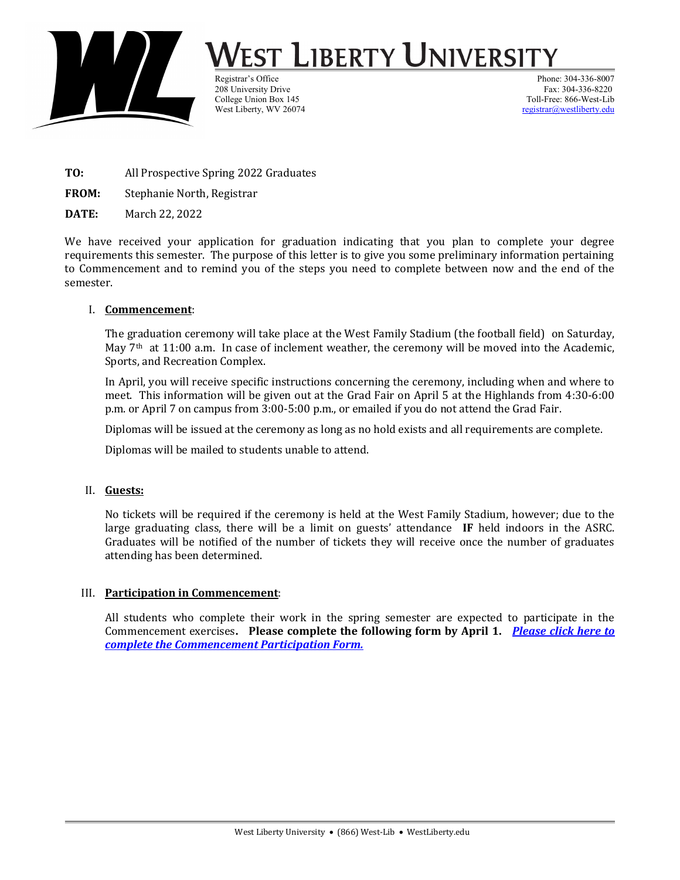

# /est Liberty University

208 University Drive West Liberty, WV 26074

Registrar's Office Phone: 304-336-8007<br>208 University Drive Phone: 204-336-8220<br>208 Phone: 304-336-8220 College Union Box 145<br>
West Liberty, WV 26074<br>
Toll-Free: 866-West-Liberty. WV 26074

- TO: All Prospective Spring 2022 Graduates
- FROM: Stephanie North, Registrar
- DATE: March 22, 2022

We have received your application for graduation indicating that you plan to complete your degree requirements this semester. The purpose of this letter is to give you some preliminary information pertaining to Commencement and to remind you of the steps you need to complete between now and the end of the semester.

#### I. Commencement:

The graduation ceremony will take place at the West Family Stadium (the football field) on Saturday, May  $7<sup>th</sup>$  at 11:00 a.m. In case of inclement weather, the ceremony will be moved into the Academic, Sports, and Recreation Complex.

In April, you will receive specific instructions concerning the ceremony, including when and where to meet. This information will be given out at the Grad Fair on April 5 at the Highlands from 4:30-6:00 p.m. or April 7 on campus from 3:00-5:00 p.m., or emailed if you do not attend the Grad Fair.

Diplomas will be issued at the ceremony as long as no hold exists and all requirements are complete.

Diplomas will be mailed to students unable to attend.

#### II. Guests:

No tickets will be required if the ceremony is held at the West Family Stadium, however; due to the large graduating class, there will be a limit on guests' attendance IF held indoors in the ASRC. Graduates will be notified of the number of tickets they will receive once the number of graduates attending has been determined.

#### III. Participation in Commencement:

All students who complete their work in the spring semester are expected to participate in the Commencement exercises. Please complete the following form by April 1. Please click here to complete the Commencement Participation Form.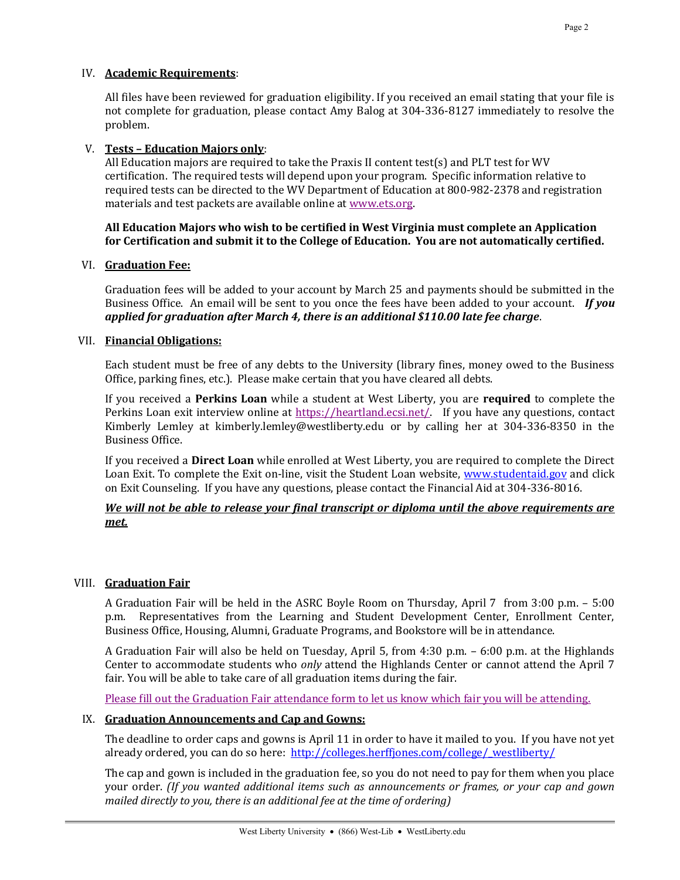All files have been reviewed for graduation eligibility. If you received an email stating that your file is not complete for graduation, please contact Amy Balog at 304-336-8127 immediately to resolve the problem.

### V. Tests – Education Majors only:

All Education majors are required to take the Praxis II content test(s) and PLT test for WV certification. The required tests will depend upon your program. Specific information relative to required tests can be directed to the WV Department of Education at 800-982-2378 and registration materials and test packets are available online at www.ets.org.

#### All Education Majors who wish to be certified in West Virginia must complete an Application for Certification and submit it to the College of Education. You are not automatically certified.

# VI. Graduation Fee:

Graduation fees will be added to your account by March 25 and payments should be submitted in the Business Office. An email will be sent to you once the fees have been added to your account. **If you** applied for graduation after March 4, there is an additional \$110.00 late fee charge.

# VII. Financial Obligations:

Each student must be free of any debts to the University (library fines, money owed to the Business Office, parking fines, etc.). Please make certain that you have cleared all debts.

If you received a Perkins Loan while a student at West Liberty, you are required to complete the Perkins Loan exit interview online at https://heartland.ecsi.net/. If you have any questions, contact Kimberly Lemley at kimberly.lemley@westliberty.edu or by calling her at 304-336-8350 in the Business Office.

If you received a Direct Loan while enrolled at West Liberty, you are required to complete the Direct Loan Exit. To complete the Exit on-line, visit the Student Loan website, www.studentaid.gov and click on Exit Counseling. If you have any questions, please contact the Financial Aid at 304-336-8016.

# We will not be able to release your final transcript or diploma until the above requirements are met.

# VIII. Graduation Fair

A Graduation Fair will be held in the ASRC Boyle Room on Thursday, April 7 from 3:00 p.m. – 5:00 p.m. Representatives from the Learning and Student Development Center, Enrollment Center, Business Office, Housing, Alumni, Graduate Programs, and Bookstore will be in attendance.

A Graduation Fair will also be held on Tuesday, April 5, from 4:30 p.m. – 6:00 p.m. at the Highlands Center to accommodate students who only attend the Highlands Center or cannot attend the April 7 fair. You will be able to take care of all graduation items during the fair.

Please fill out the Graduation Fair attendance form to let us know which fair you will be attending.

# IX. Graduation Announcements and Cap and Gowns:

The deadline to order caps and gowns is April 11 in order to have it mailed to you. If you have not yet already ordered, you can do so here: http://colleges.herffjones.com/college/\_westliberty/

The cap and gown is included in the graduation fee, so you do not need to pay for them when you place your order. (If you wanted additional items such as announcements or frames, or your cap and gown mailed directly to you, there is an additional fee at the time of ordering)